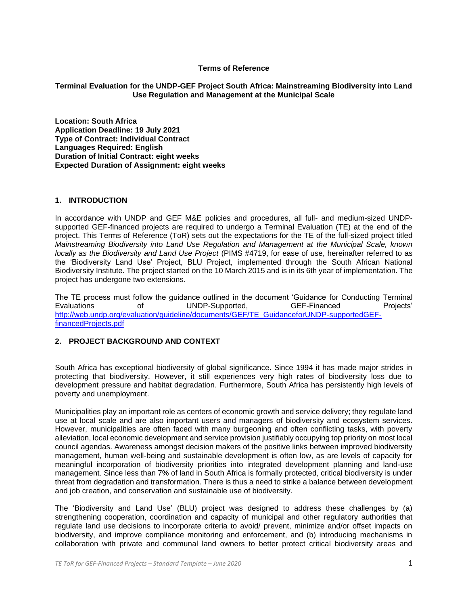### **Terms of Reference**

# **Terminal Evaluation for the UNDP-GEF Project South Africa: Mainstreaming Biodiversity into Land Use Regulation and Management at the Municipal Scale**

**Location: South Africa Application Deadline: 19 July 2021 Type of Contract: Individual Contract Languages Required: English Duration of Initial Contract: eight weeks Expected Duration of Assignment: eight weeks**

# **1. INTRODUCTION**

In accordance with UNDP and GEF M&E policies and procedures, all full- and medium-sized UNDPsupported GEF-financed projects are required to undergo a Terminal Evaluation (TE) at the end of the project. This Terms of Reference (ToR) sets out the expectations for the TE of the full-sized project titled *Mainstreaming Biodiversity into Land Use Regulation and Management at the Municipal Scale, known locally as the Biodiversity and Land Use Project* (PIMS #4719, for ease of use, hereinafter referred to as the 'Biodiversity Land Use' Project, BLU Project, implemented through the South African National Biodiversity Institute. The project started on the 10 March 2015 and is in its 6th year of implementation. The project has undergone two extensions.

The TE process must follow the guidance outlined in the document 'Guidance for Conducting Terminal Evaluations of UNDP-Supported, GEF-Financed Projects' [http://web.undp.org/evaluation/guideline/documents/GEF/TE\\_GuidanceforUNDP-supportedGEF](http://web.undp.org/evaluation/guideline/documents/GEF/TE_GuidanceforUNDP-supportedGEF-financedProjects.pdf)[financedProjects.pdf](http://web.undp.org/evaluation/guideline/documents/GEF/TE_GuidanceforUNDP-supportedGEF-financedProjects.pdf)

# **2. PROJECT BACKGROUND AND CONTEXT**

South Africa has exceptional biodiversity of global significance. Since 1994 it has made major strides in protecting that biodiversity. However, it still experiences very high rates of biodiversity loss due to development pressure and habitat degradation. Furthermore, South Africa has persistently high levels of poverty and unemployment.

Municipalities play an important role as centers of economic growth and service delivery; they regulate land use at local scale and are also important users and managers of biodiversity and ecosystem services. However, municipalities are often faced with many burgeoning and often conflicting tasks, with poverty alleviation, local economic development and service provision justifiably occupying top priority on most local council agendas. Awareness amongst decision makers of the positive links between improved biodiversity management, human well-being and sustainable development is often low, as are levels of capacity for meaningful incorporation of biodiversity priorities into integrated development planning and land-use management. Since less than 7% of land in South Africa is formally protected, critical biodiversity is under threat from degradation and transformation. There is thus a need to strike a balance between development and job creation, and conservation and sustainable use of biodiversity.

The 'Biodiversity and Land Use' (BLU) project was designed to address these challenges by (a) strengthening cooperation, coordination and capacity of municipal and other regulatory authorities that regulate land use decisions to incorporate criteria to avoid/ prevent, minimize and/or offset impacts on biodiversity, and improve compliance monitoring and enforcement, and (b) introducing mechanisms in collaboration with private and communal land owners to better protect critical biodiversity areas and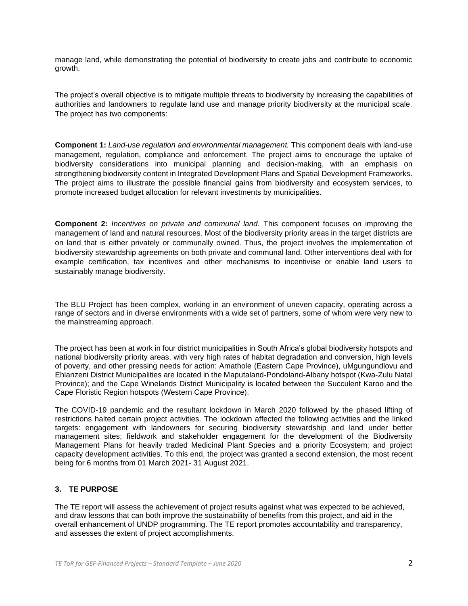manage land, while demonstrating the potential of biodiversity to create jobs and contribute to economic growth.

The project's overall objective is to mitigate multiple threats to biodiversity by increasing the capabilities of authorities and landowners to regulate land use and manage priority biodiversity at the municipal scale. The project has two components:

**Component 1:** *Land-use regulation and environmental management.* This component deals with land-use management, regulation, compliance and enforcement. The project aims to encourage the uptake of biodiversity considerations into municipal planning and decision-making, with an emphasis on strengthening biodiversity content in Integrated Development Plans and Spatial Development Frameworks. The project aims to illustrate the possible financial gains from biodiversity and ecosystem services, to promote increased budget allocation for relevant investments by municipalities.

**Component 2:** *Incentives on private and communal land.* This component focuses on improving the management of land and natural resources. Most of the biodiversity priority areas in the target districts are on land that is either privately or communally owned. Thus, the project involves the implementation of biodiversity stewardship agreements on both private and communal land. Other interventions deal with for example certification, tax incentives and other mechanisms to incentivise or enable land users to sustainably manage biodiversity.

The BLU Project has been complex, working in an environment of uneven capacity, operating across a range of sectors and in diverse environments with a wide set of partners, some of whom were very new to the mainstreaming approach.

The project has been at work in four district municipalities in South Africa's global biodiversity hotspots and national biodiversity priority areas, with very high rates of habitat degradation and conversion, high levels of poverty, and other pressing needs for action: Amathole (Eastern Cape Province), uMgungundlovu and Ehlanzeni District Municipalities are located in the Maputaland-Pondoland-Albany hotspot (Kwa-Zulu Natal Province); and the Cape Winelands District Municipality is located between the Succulent Karoo and the Cape Floristic Region hotspots (Western Cape Province).

The COVID-19 pandemic and the resultant lockdown in March 2020 followed by the phased lifting of restrictions halted certain project activities. The lockdown affected the following activities and the linked targets: engagement with landowners for securing biodiversity stewardship and land under better management sites; fieldwork and stakeholder engagement for the development of the Biodiversity Management Plans for heavily traded Medicinal Plant Species and a priority Ecosystem; and project capacity development activities. To this end, the project was granted a second extension, the most recent being for 6 months from 01 March 2021- 31 August 2021.

# **3. TE PURPOSE**

The TE report will assess the achievement of project results against what was expected to be achieved, and draw lessons that can both improve the sustainability of benefits from this project, and aid in the overall enhancement of UNDP programming. The TE report promotes accountability and transparency, and assesses the extent of project accomplishments.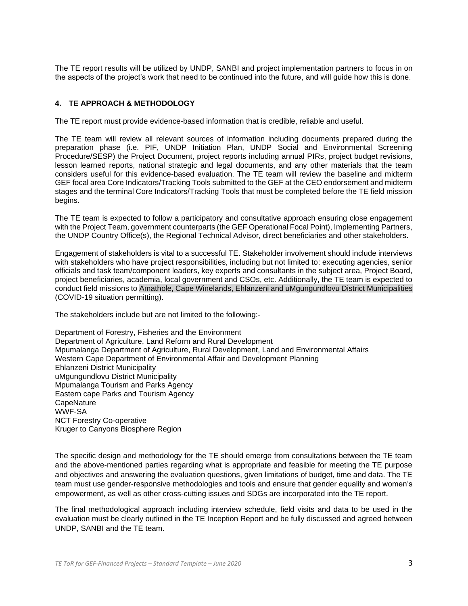The TE report results will be utilized by UNDP, SANBI and project implementation partners to focus in on the aspects of the project's work that need to be continued into the future, and will guide how this is done.

# **4. TE APPROACH & METHODOLOGY**

The TE report must provide evidence-based information that is credible, reliable and useful.

The TE team will review all relevant sources of information including documents prepared during the preparation phase (i.e. PIF, UNDP Initiation Plan, UNDP Social and Environmental Screening Procedure/SESP) the Project Document, project reports including annual PIRs, project budget revisions, lesson learned reports, national strategic and legal documents, and any other materials that the team considers useful for this evidence-based evaluation. The TE team will review the baseline and midterm GEF focal area Core Indicators/Tracking Tools submitted to the GEF at the CEO endorsement and midterm stages and the terminal Core Indicators/Tracking Tools that must be completed before the TE field mission begins.

The TE team is expected to follow a participatory and consultative approach ensuring close engagement with the Project Team, government counterparts (the GEF Operational Focal Point), Implementing Partners, the UNDP Country Office(s), the Regional Technical Advisor, direct beneficiaries and other stakeholders.

Engagement of stakeholders is vital to a successful TE. Stakeholder involvement should include interviews with stakeholders who have project responsibilities, including but not limited to: executing agencies, senior officials and task team/component leaders, key experts and consultants in the subject area, Project Board, project beneficiaries, academia, local government and CSOs, etc. Additionally, the TE team is expected to conduct field missions to Amathole, Cape Winelands, Ehlanzeni and uMgungundlovu District Municipalities (COVID-19 situation permitting).

The stakeholders include but are not limited to the following:-

Department of Forestry, Fisheries and the Environment Department of Agriculture, Land Reform and Rural Development Mpumalanga Department of Agriculture, Rural Development, Land and Environmental Affairs Western Cape Department of Environmental Affair and Development Planning Ehlanzeni District Municipality uMgungundlovu District Municipality Mpumalanga Tourism and Parks Agency Eastern cape Parks and Tourism Agency **CapeNature** WWF-SA NCT Forestry Co-operative Kruger to Canyons Biosphere Region

The specific design and methodology for the TE should emerge from consultations between the TE team and the above-mentioned parties regarding what is appropriate and feasible for meeting the TE purpose and objectives and answering the evaluation questions, given limitations of budget, time and data. The TE team must use gender-responsive methodologies and tools and ensure that gender equality and women's empowerment, as well as other cross-cutting issues and SDGs are incorporated into the TE report.

The final methodological approach including interview schedule, field visits and data to be used in the evaluation must be clearly outlined in the TE Inception Report and be fully discussed and agreed between UNDP, SANBI and the TE team.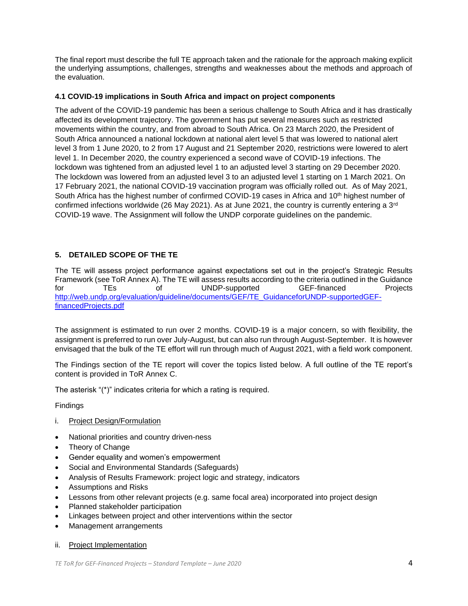The final report must describe the full TE approach taken and the rationale for the approach making explicit the underlying assumptions, challenges, strengths and weaknesses about the methods and approach of the evaluation.

# **4.1 COVID-19 implications in South Africa and impact on project components**

The advent of the COVID-19 pandemic has been a serious challenge to South Africa and it has drastically affected its development trajectory. The government has put several measures such as restricted movements within the country, and from abroad to South Africa. On 23 March 2020, the President of South Africa announced a national lockdown at national alert level 5 that was lowered to national alert level 3 from 1 June 2020, to 2 from 17 August and 21 September 2020, restrictions were lowered to alert level 1. In December 2020, the country experienced a second wave of COVID-19 infections. The lockdown was tightened from an adjusted level 1 to an adjusted level 3 starting on 29 December 2020. The lockdown was lowered from an adjusted level 3 to an adjusted level 1 starting on 1 March 2021. On 17 February 2021, the national COVID-19 vaccination program was officially rolled out. As of May 2021, South Africa has the highest number of confirmed COVID-19 cases in Africa and 10<sup>th</sup> highest number of confirmed infections worldwide (26 May 2021). As at June 2021, the country is currently entering a 3<sup>rd</sup> COVID-19 wave. The Assignment will follow the UNDP corporate guidelines on the pandemic.

# **5. DETAILED SCOPE OF THE TE**

The TE will assess project performance against expectations set out in the project's Strategic Results Framework (see ToR Annex A). The TE will assess results according to the criteria outlined in the Guidance for TEs of UNDP-supported GEF-financed Projects [http://web.undp.org/evaluation/guideline/documents/GEF/TE\\_GuidanceforUNDP-supportedGEF](http://web.undp.org/evaluation/guideline/documents/GEF/TE_GuidanceforUNDP-supportedGEF-financedProjects.pdf)[financedProjects.pdf](http://web.undp.org/evaluation/guideline/documents/GEF/TE_GuidanceforUNDP-supportedGEF-financedProjects.pdf)

The assignment is estimated to run over 2 months. COVID-19 is a major concern, so with flexibility, the assignment is preferred to run over July-August, but can also run through August-September. It is however envisaged that the bulk of the TE effort will run through much of August 2021, with a field work component.

The Findings section of the TE report will cover the topics listed below. A full outline of the TE report's content is provided in ToR Annex C.

The asterisk "(\*)" indicates criteria for which a rating is required.

Findings

- i. Project Design/Formulation
- National priorities and country driven-ness
- Theory of Change
- Gender equality and women's empowerment
- Social and Environmental Standards (Safeguards)
- Analysis of Results Framework: project logic and strategy, indicators
- Assumptions and Risks
- Lessons from other relevant projects (e.g. same focal area) incorporated into project design
- Planned stakeholder participation
- Linkages between project and other interventions within the sector
- Management arrangements
- ii. Project Implementation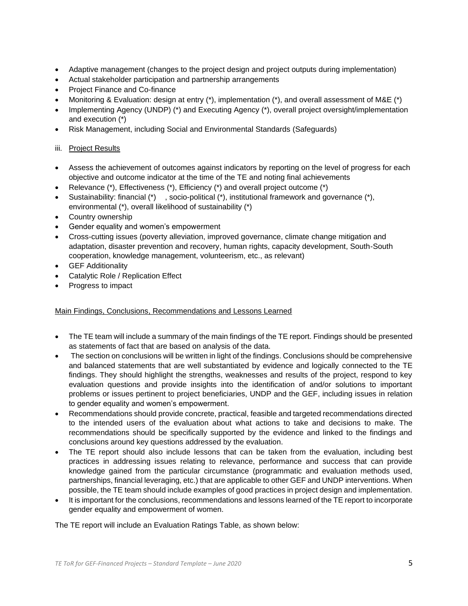- Adaptive management (changes to the project design and project outputs during implementation)
- Actual stakeholder participation and partnership arrangements
- Project Finance and Co-finance
- Monitoring & Evaluation: design at entry (\*), implementation (\*), and overall assessment of M&E (\*)
- Implementing Agency (UNDP) (\*) and Executing Agency (\*), overall project oversight/implementation and execution (\*)
- Risk Management, including Social and Environmental Standards (Safeguards)

# iii. Project Results

- Assess the achievement of outcomes against indicators by reporting on the level of progress for each objective and outcome indicator at the time of the TE and noting final achievements
- Relevance (\*), Effectiveness (\*), Efficiency (\*) and overall project outcome (\*)
- Sustainability: financial  $(*)$ , socio-political  $(*)$ , institutional framework and governance  $(*)$ , environmental (\*), overall likelihood of sustainability (\*)
- Country ownership
- Gender equality and women's empowerment
- Cross-cutting issues (poverty alleviation, improved governance, climate change mitigation and adaptation, disaster prevention and recovery, human rights, capacity development, South-South cooperation, knowledge management, volunteerism, etc., as relevant)
- GEF Additionality
- Catalytic Role / Replication Effect
- Progress to impact

# Main Findings, Conclusions, Recommendations and Lessons Learned

- The TE team will include a summary of the main findings of the TE report. Findings should be presented as statements of fact that are based on analysis of the data.
- The section on conclusions will be written in light of the findings. Conclusions should be comprehensive and balanced statements that are well substantiated by evidence and logically connected to the TE findings. They should highlight the strengths, weaknesses and results of the project, respond to key evaluation questions and provide insights into the identification of and/or solutions to important problems or issues pertinent to project beneficiaries, UNDP and the GEF, including issues in relation to gender equality and women's empowerment.
- Recommendations should provide concrete, practical, feasible and targeted recommendations directed to the intended users of the evaluation about what actions to take and decisions to make. The recommendations should be specifically supported by the evidence and linked to the findings and conclusions around key questions addressed by the evaluation.
- The TE report should also include lessons that can be taken from the evaluation, including best practices in addressing issues relating to relevance, performance and success that can provide knowledge gained from the particular circumstance (programmatic and evaluation methods used, partnerships, financial leveraging, etc.) that are applicable to other GEF and UNDP interventions. When possible, the TE team should include examples of good practices in project design and implementation.
- It is important for the conclusions, recommendations and lessons learned of the TE report to incorporate gender equality and empowerment of women.

The TE report will include an Evaluation Ratings Table, as shown below: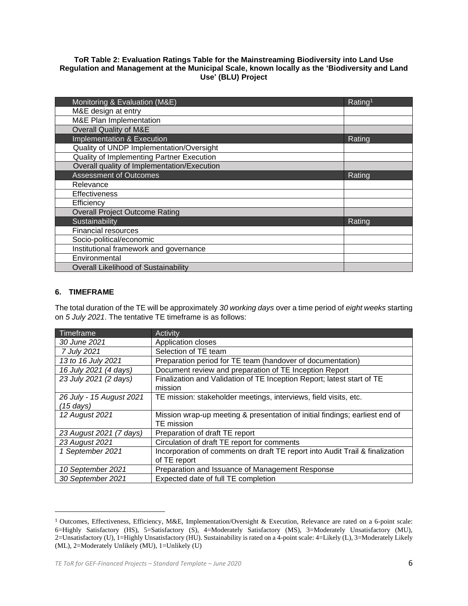# **ToR Table 2: Evaluation Ratings Table for the Mainstreaming Biodiversity into Land Use Regulation and Management at the Municipal Scale, known locally as the 'Biodiversity and Land Use' (BLU) Project**

| Monitoring & Evaluation (M&E)               | Rating <sup>1</sup> |
|---------------------------------------------|---------------------|
| M&E design at entry                         |                     |
| <b>M&amp;E Plan Implementation</b>          |                     |
| <b>Overall Quality of M&amp;E</b>           |                     |
| Implementation & Execution                  | Rating              |
| Quality of UNDP Implementation/Oversight    |                     |
| Quality of Implementing Partner Execution   |                     |
| Overall quality of Implementation/Execution |                     |
| <b>Assessment of Outcomes</b>               | Rating              |
| Relevance                                   |                     |
| <b>Effectiveness</b>                        |                     |
| Efficiency                                  |                     |
| <b>Overall Project Outcome Rating</b>       |                     |
| Sustainability                              | Rating              |
| <b>Financial resources</b>                  |                     |
| Socio-political/economic                    |                     |
| Institutional framework and governance      |                     |
| Environmental                               |                     |
| Overall Likelihood of Sustainability        |                     |

# **6. TIMEFRAME**

The total duration of the TE will be approximately *30 working days* over a time period of *eight weeks* starting on *5 July 2021*. The tentative TE timeframe is as follows:

| Timeframe                | Activity                                                                     |
|--------------------------|------------------------------------------------------------------------------|
| 30 June 2021             | Application closes                                                           |
| 7 July 2021              | Selection of TE team                                                         |
| 13 to 16 July 2021       | Preparation period for TE team (handover of documentation)                   |
| 16 July 2021 (4 days)    | Document review and preparation of TE Inception Report                       |
| 23 July 2021 (2 days)    | Finalization and Validation of TE Inception Report; latest start of TE       |
|                          | mission                                                                      |
| 26 July - 15 August 2021 | TE mission: stakeholder meetings, interviews, field visits, etc.             |
| $(15 \text{ days})$      |                                                                              |
| 12 August 2021           | Mission wrap-up meeting & presentation of initial findings; earliest end of  |
|                          | TE mission                                                                   |
| 23 August 2021 (7 days)  | Preparation of draft TE report                                               |
| 23 August 2021           | Circulation of draft TE report for comments                                  |
| 1 September 2021         | Incorporation of comments on draft TE report into Audit Trail & finalization |
|                          | of TE report                                                                 |
| 10 September 2021        | Preparation and Issuance of Management Response                              |
| 30 September 2021        | Expected date of full TE completion                                          |

<sup>1</sup> Outcomes, Effectiveness, Efficiency, M&E, Implementation/Oversight & Execution, Relevance are rated on a 6-point scale: 6=Highly Satisfactory (HS), 5=Satisfactory (S), 4=Moderately Satisfactory (MS), 3=Moderately Unsatisfactory (MU), 2=Unsatisfactory (U), 1=Highly Unsatisfactory (HU). Sustainability is rated on a 4-point scale: 4=Likely (L), 3=Moderately Likely (ML), 2=Moderately Unlikely (MU), 1=Unlikely (U)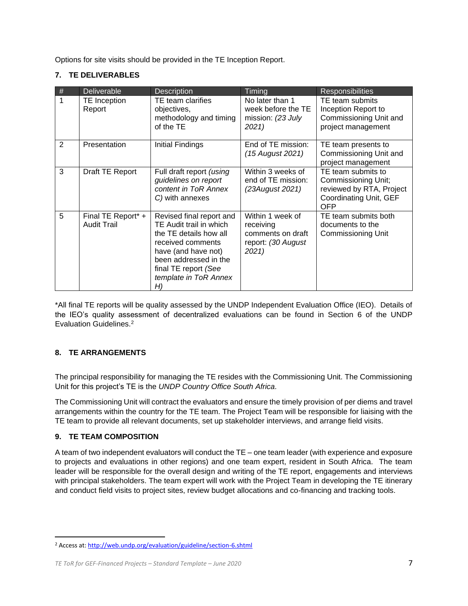Options for site visits should be provided in the TE Inception Report.

# **7. TE DELIVERABLES**

| # | Deliverable                              | <b>Description</b>                                                                                                                                                                                        | Timing                                                                            | <b>Responsibilities</b>                                                                                              |
|---|------------------------------------------|-----------------------------------------------------------------------------------------------------------------------------------------------------------------------------------------------------------|-----------------------------------------------------------------------------------|----------------------------------------------------------------------------------------------------------------------|
|   | TE Inception<br>Report                   | TE team clarifies<br>objectives,<br>methodology and timing<br>of the TE                                                                                                                                   | No later than 1<br>week before the TE<br>mission: (23 July<br>2021)               | TE team submits<br>Inception Report to<br>Commissioning Unit and<br>project management                               |
| 2 | Presentation                             | Initial Findings                                                                                                                                                                                          | End of TE mission:<br>(15 August 2021)                                            | TE team presents to<br>Commissioning Unit and<br>project management                                                  |
| 3 | Draft TE Report                          | Full draft report (using<br>guidelines on report<br>content in ToR Annex<br>C) with annexes                                                                                                               | Within 3 weeks of<br>end of TE mission:<br>(23August 2021)                        | TE team submits to<br><b>Commissioning Unit;</b><br>reviewed by RTA, Project<br>Coordinating Unit, GEF<br><b>OFP</b> |
| 5 | Final TE Report* +<br><b>Audit Trail</b> | Revised final report and<br>TE Audit trail in which<br>the TE details how all<br>received comments<br>have (and have not)<br>been addressed in the<br>final TE report (See<br>template in ToR Annex<br>H) | Within 1 week of<br>receiving<br>comments on draft<br>report: (30 August<br>2021) | TE team submits both<br>documents to the<br>Commissioning Unit                                                       |

\*All final TE reports will be quality assessed by the UNDP Independent Evaluation Office (IEO). Details of the IEO's quality assessment of decentralized evaluations can be found in Section 6 of the UNDP Evaluation Guidelines.<sup>2</sup>

# **8. TE ARRANGEMENTS**

The principal responsibility for managing the TE resides with the Commissioning Unit. The Commissioning Unit for this project's TE is the *UNDP Country Office South Africa.* 

The Commissioning Unit will contract the evaluators and ensure the timely provision of per diems and travel arrangements within the country for the TE team. The Project Team will be responsible for liaising with the TE team to provide all relevant documents, set up stakeholder interviews, and arrange field visits.

# **9. TE TEAM COMPOSITION**

A team of two independent evaluators will conduct the TE – one team leader (with experience and exposure to projects and evaluations in other regions) and one team expert, resident in South Africa. The team leader will be responsible for the overall design and writing of the TE report, engagements and interviews with principal stakeholders. The team expert will work with the Project Team in developing the TE itinerary and conduct field visits to project sites, review budget allocations and co-financing and tracking tools.

<sup>2</sup> Access at: http://web.undp.org/evaluation/guideline/section-6.shtml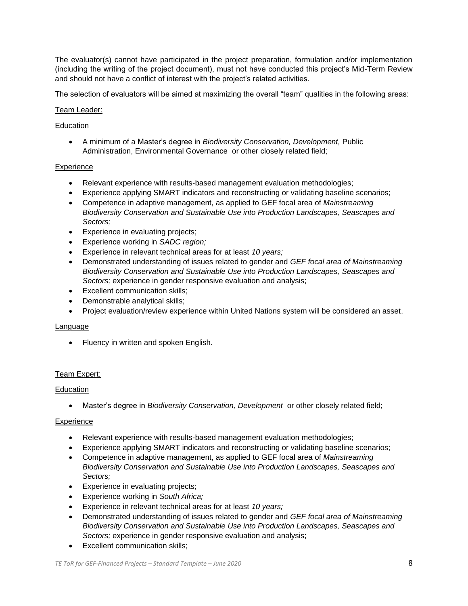The evaluator(s) cannot have participated in the project preparation, formulation and/or implementation (including the writing of the project document), must not have conducted this project's Mid-Term Review and should not have a conflict of interest with the project's related activities.

The selection of evaluators will be aimed at maximizing the overall "team" qualities in the following areas:

# Team Leader:

# Education

• A minimum of a Master's degree in *Biodiversity Conservation, Development,* Public Administration, Environmental Governance or other closely related field;

# **Experience**

- Relevant experience with results-based management evaluation methodologies;
- Experience applying SMART indicators and reconstructing or validating baseline scenarios;
- Competence in adaptive management, as applied to GEF focal area of *Mainstreaming Biodiversity Conservation and Sustainable Use into Production Landscapes, Seascapes and Sectors;*
- Experience in evaluating projects;
- Experience working in *SADC region;*
- Experience in relevant technical areas for at least *10 years;*
- Demonstrated understanding of issues related to gender and *GEF focal area of Mainstreaming Biodiversity Conservation and Sustainable Use into Production Landscapes, Seascapes and Sectors;* experience in gender responsive evaluation and analysis;
- Excellent communication skills;
- Demonstrable analytical skills;
- Project evaluation/review experience within United Nations system will be considered an asset.

### Language

• Fluency in written and spoken English.

# Team Expert:

### Education

• Master's degree in *Biodiversity Conservation, Development* or other closely related field;

### **Experience**

- Relevant experience with results-based management evaluation methodologies;
- Experience applying SMART indicators and reconstructing or validating baseline scenarios;
- Competence in adaptive management, as applied to GEF focal area of *Mainstreaming Biodiversity Conservation and Sustainable Use into Production Landscapes, Seascapes and Sectors;*
- Experience in evaluating projects;
- Experience working in *South Africa;*
- Experience in relevant technical areas for at least *10 years;*
- Demonstrated understanding of issues related to gender and *GEF focal area of Mainstreaming Biodiversity Conservation and Sustainable Use into Production Landscapes, Seascapes and Sectors;* experience in gender responsive evaluation and analysis;
- Excellent communication skills;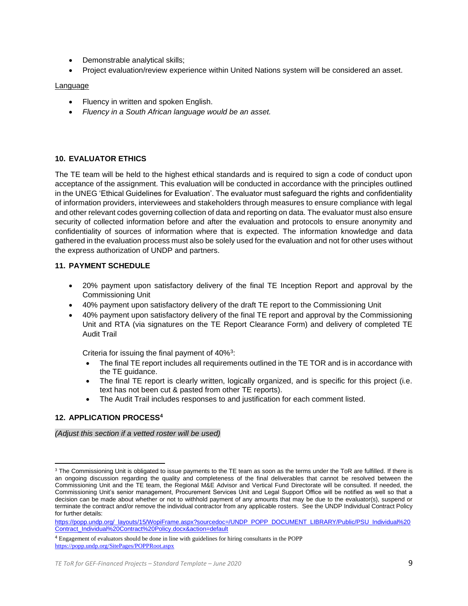- Demonstrable analytical skills;
- Project evaluation/review experience within United Nations system will be considered an asset.

### **Language**

- Fluency in written and spoken English.
- *Fluency in a South African language would be an asset.*

# **10. EVALUATOR ETHICS**

The TE team will be held to the highest ethical standards and is required to sign a code of conduct upon acceptance of the assignment. This evaluation will be conducted in accordance with the principles outlined in the UNEG 'Ethical Guidelines for Evaluation'. The evaluator must safeguard the rights and confidentiality of information providers, interviewees and stakeholders through measures to ensure compliance with legal and other relevant codes governing collection of data and reporting on data. The evaluator must also ensure security of collected information before and after the evaluation and protocols to ensure anonymity and confidentiality of sources of information where that is expected. The information knowledge and data gathered in the evaluation process must also be solely used for the evaluation and not for other uses without the express authorization of UNDP and partners.

# **11. PAYMENT SCHEDULE**

- 20% payment upon satisfactory delivery of the final TE Inception Report and approval by the Commissioning Unit
- 40% payment upon satisfactory delivery of the draft TE report to the Commissioning Unit
- 40% payment upon satisfactory delivery of the final TE report and approval by the Commissioning Unit and RTA (via signatures on the TE Report Clearance Form) and delivery of completed TE Audit Trail

Criteria for issuing the final payment of 40%<sup>3</sup>:

- The final TE report includes all requirements outlined in the TE TOR and is in accordance with the TE guidance.
- The final TE report is clearly written, logically organized, and is specific for this project (i.e. text has not been cut & pasted from other TE reports).
- The Audit Trail includes responses to and justification for each comment listed.

# **12. APPLICATION PROCESS<sup>4</sup>**

*(Adjust this section if a vetted roster will be used)*

<sup>&</sup>lt;sup>3</sup> The Commissioning Unit is obligated to issue payments to the TE team as soon as the terms under the ToR are fulfilled. If there is an ongoing discussion regarding the quality and completeness of the final deliverables that cannot be resolved between the Commissioning Unit and the TE team, the Regional M&E Advisor and Vertical Fund Directorate will be consulted. If needed, the Commissioning Unit's senior management, Procurement Services Unit and Legal Support Office will be notified as well so that a decision can be made about whether or not to withhold payment of any amounts that may be due to the evaluator(s), suspend or terminate the contract and/or remove the individual contractor from any applicable rosters. See the UNDP Individual Contract Policy for further details:

https://popp.undp.org/\_layouts/15/WopiFrame.aspx?sourcedoc=/UNDP\_POPP\_DOCUMENT\_LIBRARY/Public/PSU\_Individual%20 Contract\_Individual%20Contract%20Policy.docx&action=default

<sup>4</sup> Engagement of evaluators should be done in line with guidelines for hiring consultants in the POPP https://popp.undp.org/SitePages/POPPRoot.aspx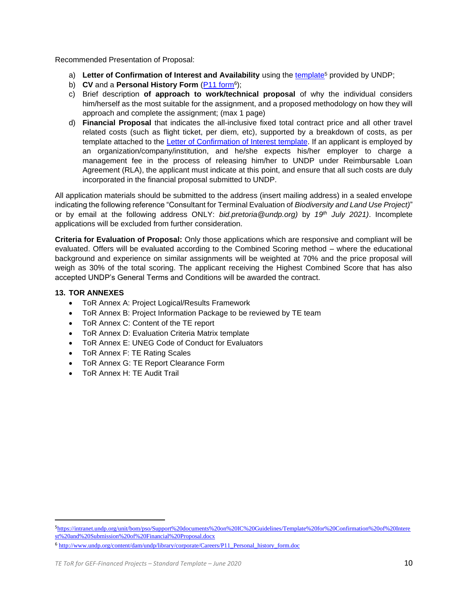Recommended Presentation of Proposal:

- a) Letter of Confirmation of Interest and Availability using the template<sup>5</sup> provided by UNDP;
- b) CV and a Personal History Form (**P11 form**<sup>6</sup>);
- c) Brief description **of approach to work/technical proposal** of why the individual considers him/herself as the most suitable for the assignment, and a proposed methodology on how they will approach and complete the assignment; (max 1 page)
- d) **Financial Proposal** that indicates the all-inclusive fixed total contract price and all other travel related costs (such as flight ticket, per diem, etc), supported by a breakdown of costs, as per template attached to the Letter of Confirmation of Interest template. If an applicant is employed by an organization/company/institution, and he/she expects his/her employer to charge a management fee in the process of releasing him/her to UNDP under Reimbursable Loan Agreement (RLA), the applicant must indicate at this point, and ensure that all such costs are duly incorporated in the financial proposal submitted to UNDP.

All application materials should be submitted to the address (insert mailing address) in a sealed envelope indicating the following reference "Consultant for Terminal Evaluation of *Biodiversity and Land Use Project)*" or by email at the following address ONLY: *bid.pretoria@undp.org)* by *19th July 2021)*. Incomplete applications will be excluded from further consideration.

**Criteria for Evaluation of Proposal:** Only those applications which are responsive and compliant will be evaluated. Offers will be evaluated according to the Combined Scoring method – where the educational background and experience on similar assignments will be weighted at 70% and the price proposal will weigh as 30% of the total scoring. The applicant receiving the Highest Combined Score that has also accepted UNDP's General Terms and Conditions will be awarded the contract.

# **13. TOR ANNEXES**

- ToR Annex A: Project Logical/Results Framework
- ToR Annex B: Project Information Package to be reviewed by TE team
- ToR Annex C: Content of the TE report
- ToR Annex D: Evaluation Criteria Matrix template
- ToR Annex E: UNEG Code of Conduct for Evaluators
- ToR Annex F: TE Rating Scales
- ToR Annex G: TE Report Clearance Form
- ToR Annex H: TE Audit Trail

<sup>5</sup>https://intranet.undp.org/unit/bom/pso/Support%20documents%20on%20IC%20Guidelines/Template%20for%20Confirmation%20of%20Intere st%20and%20Submission%20of%20Financial%20Proposal.docx

<sup>6</sup> http://www.undp.org/content/dam/undp/library/corporate/Careers/P11\_Personal\_history\_form.doc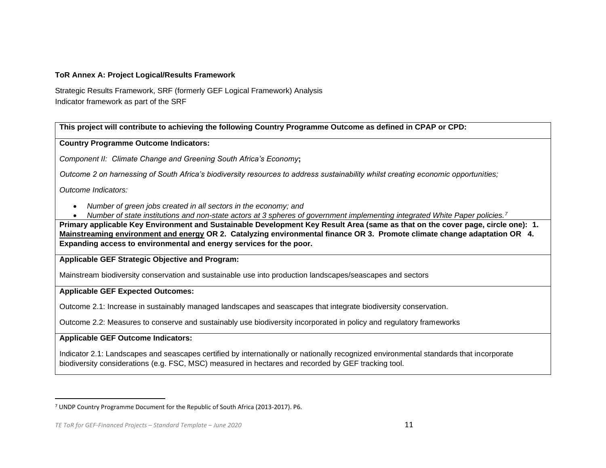# **ToR Annex A: Project Logical/Results Framework**

Strategic Results Framework, SRF (formerly GEF Logical Framework) Analysis Indicator framework as part of the SRF

**This project will contribute to achieving the following Country Programme Outcome as defined in CPAP or CPD:** 

**Country Programme Outcome Indicators:**

*Component II: Climate Change and Greening South Africa's Economy***;** 

*Outcome 2 on harnessing of South Africa's biodiversity resources to address sustainability whilst creating economic opportunities;*

*Outcome Indicators:*

- *Number of green jobs created in all sectors in the economy; and*
- *Number of state institutions and non-state actors at 3 spheres of government implementing integrated White Paper policies.<sup>7</sup>*

**Primary applicable Key Environment and Sustainable Development Key Result Area (same as that on the cover page, circle one): 1. Mainstreaming environment and energy OR 2. Catalyzing environmental finance OR 3. Promote climate change adaptation OR 4. Expanding access to environmental and energy services for the poor.**

**Applicable GEF Strategic Objective and Program:** 

Mainstream biodiversity conservation and sustainable use into production landscapes/seascapes and sectors

# **Applicable GEF Expected Outcomes:**

Outcome 2.1: Increase in sustainably managed landscapes and seascapes that integrate biodiversity conservation.

Outcome 2.2: Measures to conserve and sustainably use biodiversity incorporated in policy and regulatory frameworks

**Applicable GEF Outcome Indicators:** 

Indicator 2.1: Landscapes and seascapes certified by internationally or nationally recognized environmental standards that incorporate biodiversity considerations (e.g. FSC, MSC) measured in hectares and recorded by GEF tracking tool.

<sup>7</sup> UNDP Country Programme Document for the Republic of South Africa (2013-2017). P6.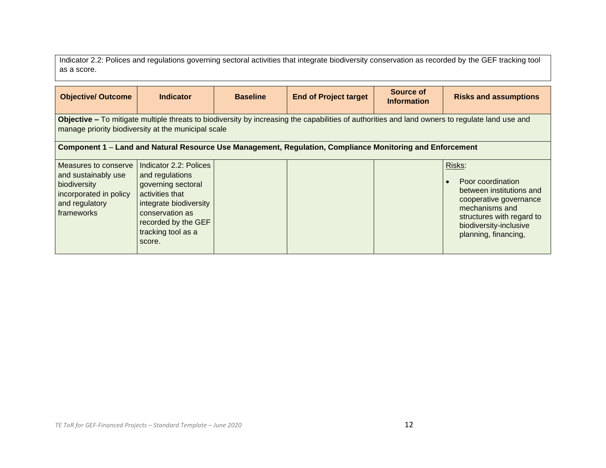Indicator 2.2: Polices and regulations governing sectoral activities that integrate biodiversity conservation as recorded by the GEF tracking tool as a score.

| <b>Objective/ Outcome</b>                                                                                             | <b>Indicator</b>                                                                                                                                                                                       | <b>Baseline</b> | <b>End of Project target</b>                                                                              | Source of<br><b>Information</b> | <b>Risks and assumptions</b>                                                                                                                                                       |  |  |
|-----------------------------------------------------------------------------------------------------------------------|--------------------------------------------------------------------------------------------------------------------------------------------------------------------------------------------------------|-----------------|-----------------------------------------------------------------------------------------------------------|---------------------------------|------------------------------------------------------------------------------------------------------------------------------------------------------------------------------------|--|--|
|                                                                                                                       | Objective – To mitigate multiple threats to biodiversity by increasing the capabilities of authorities and land owners to regulate land use and<br>manage priority biodiversity at the municipal scale |                 |                                                                                                           |                                 |                                                                                                                                                                                    |  |  |
|                                                                                                                       |                                                                                                                                                                                                        |                 | Component 1 - Land and Natural Resource Use Management, Regulation, Compliance Monitoring and Enforcement |                                 |                                                                                                                                                                                    |  |  |
| Measures to conserve<br>and sustainably use<br>biodiversity<br>incorporated in policy<br>and regulatory<br>frameworks | Indicator 2.2: Polices<br>and regulations<br>governing sectoral<br>activities that<br>integrate biodiversity<br>conservation as<br>recorded by the GEF<br>tracking tool as a<br>score.                 |                 |                                                                                                           |                                 | Risks:<br>Poor coordination<br>between institutions and<br>cooperative governance<br>mechanisms and<br>structures with regard to<br>biodiversity-inclusive<br>planning, financing, |  |  |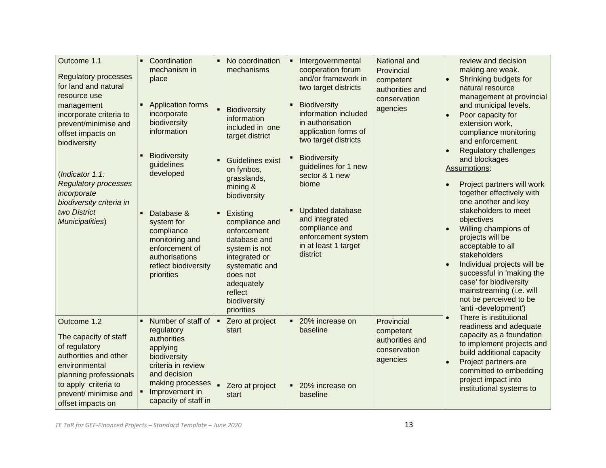| Outcome 1.1<br><b>Regulatory processes</b><br>for land and natural<br>resource use                                                                                                              | Coordination<br>mechanism in<br>place                                                                                                                                           | No coordination<br>$\blacksquare$<br>mechanisms                                                                                                                                                                                | Intergovernmental<br>$\blacksquare$<br>cooperation forum<br>and/or framework in<br>two target districts                                                                                                     | National and<br>Provincial<br>$\bullet$<br>competent<br>authorities and             | review and decision<br>making are weak.<br>Shrinking budgets for<br>natural resource                                                                                                                                                                                                                                                       |
|-------------------------------------------------------------------------------------------------------------------------------------------------------------------------------------------------|---------------------------------------------------------------------------------------------------------------------------------------------------------------------------------|--------------------------------------------------------------------------------------------------------------------------------------------------------------------------------------------------------------------------------|-------------------------------------------------------------------------------------------------------------------------------------------------------------------------------------------------------------|-------------------------------------------------------------------------------------|--------------------------------------------------------------------------------------------------------------------------------------------------------------------------------------------------------------------------------------------------------------------------------------------------------------------------------------------|
| management<br>incorporate criteria to<br>prevent/minimise and<br>offset impacts on<br>biodiversity<br>(Indicator 1.1:<br><b>Regulatory processes</b>                                            | <b>Application forms</b><br>incorporate<br>biodiversity<br>information<br><b>Biodiversity</b><br>guidelines<br>developed                                                        | $\blacksquare$<br><b>Biodiversity</b><br>information<br>included in one<br>target district<br><b>Guidelines exist</b><br>$\blacksquare$<br>on fynbos,<br>grasslands,                                                           | <b>Biodiversity</b><br>$\blacksquare$<br>information included<br>in authorisation<br>application forms of<br>two target districts<br><b>Biodiversity</b><br>guidelines for 1 new<br>sector & 1 new<br>biome | conservation<br>agencies                                                            | management at provincial<br>and municipal levels.<br>Poor capacity for<br>extension work,<br>compliance monitoring<br>and enforcement.<br><b>Regulatory challenges</b><br>and blockages<br>Assumptions:<br>Project partners will work                                                                                                      |
| incorporate<br>biodiversity criteria in<br>two District<br>Municipalities)                                                                                                                      | Database &<br>system for<br>compliance<br>monitoring and<br>enforcement of<br>authorisations<br>reflect biodiversity<br>priorities                                              | mining &<br>biodiversity<br>Existing<br>$\blacksquare$<br>compliance and<br>enforcement<br>database and<br>system is not<br>integrated or<br>systematic and<br>does not<br>adequately<br>reflect<br>biodiversity<br>priorities | <b>Updated database</b><br>and integrated<br>compliance and<br>enforcement system<br>in at least 1 target<br>district                                                                                       |                                                                                     | together effectively with<br>one another and key<br>stakeholders to meet<br>objectives<br>Willing champions of<br>projects will be<br>acceptable to all<br>stakeholders<br>Individual projects will be<br>successful in 'making the<br>case' for biodiversity<br>mainstreaming (i.e. will<br>not be perceived to be<br>'anti-development') |
| Outcome 1.2<br>The capacity of staff<br>of regulatory<br>authorities and other<br>environmental<br>planning professionals<br>to apply criteria to<br>prevent/ minimise and<br>offset impacts on | Number of staff of<br>regulatory<br>authorities<br>applying<br>biodiversity<br>criteria in review<br>and decision<br>making processes<br>Improvement in<br>capacity of staff in | Zero at project<br>start<br>Zero at project<br>start                                                                                                                                                                           | 20% increase on<br>baseline<br>20% increase on<br>baseline                                                                                                                                                  | Provincial<br>competent<br>authorities and<br>conservation<br>agencies<br>$\bullet$ | There is institutional<br>readiness and adequate<br>capacity as a foundation<br>to implement projects and<br>build additional capacity<br>Project partners are<br>committed to embedding<br>project impact into<br>institutional systems to                                                                                                |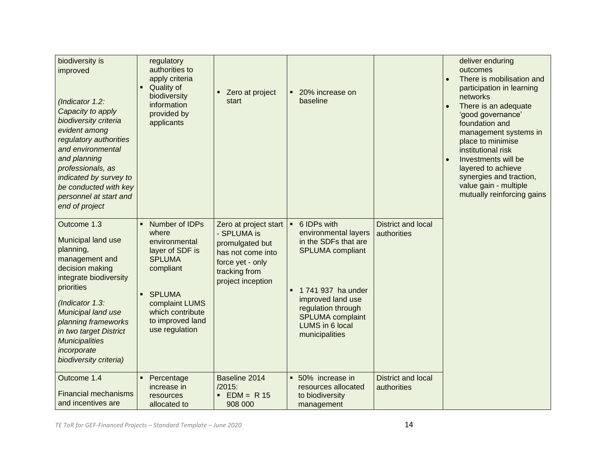| biodiversity is<br>improved<br>(Indicator 1.2:<br>Capacity to apply<br>biodiversity criteria<br>evident among<br>regulatory authorities<br>and environmental<br>and planning<br>professionals, as<br>indicated by survey to<br>be conducted with key<br>personnel at start and<br>end of project | regulatory<br>authorities to<br>apply criteria<br>Quality of<br>biodiversity<br>information<br>provided by<br>applicants                                                                         | Zero at project<br>start                                                                                                               | 20% increase on<br>$\blacksquare$<br>baseline                                                                                                                                                                           |                                          | deliver enduring<br>outcomes<br>There is mobilisation and<br>$\bullet$<br>participation in learning<br>networks<br>There is an adequate<br>'good governance'<br>foundation and<br>management systems in<br>place to minimise<br>institutional risk<br>Investments will be<br>$\bullet$<br>layered to achieve<br>synergies and traction,<br>value gain - multiple<br>mutually reinforcing gains |
|--------------------------------------------------------------------------------------------------------------------------------------------------------------------------------------------------------------------------------------------------------------------------------------------------|--------------------------------------------------------------------------------------------------------------------------------------------------------------------------------------------------|----------------------------------------------------------------------------------------------------------------------------------------|-------------------------------------------------------------------------------------------------------------------------------------------------------------------------------------------------------------------------|------------------------------------------|------------------------------------------------------------------------------------------------------------------------------------------------------------------------------------------------------------------------------------------------------------------------------------------------------------------------------------------------------------------------------------------------|
| Outcome 1.3<br>Municipal land use<br>planning,<br>management and<br>decision making<br>integrate biodiversity<br>priorities<br>(Indicator 1.3:<br>Municipal land use<br>planning frameworks<br>in two target District<br><b>Municipalities</b><br>incorporate<br>biodiversity criteria)          | Number of IDPs<br>٠<br>where<br>environmental<br>layer of SDF is<br><b>SPLUMA</b><br>compliant<br><b>SPLUMA</b><br>٠<br>complaint LUMS<br>which contribute<br>to improved land<br>use regulation | Zero at project start<br>- SPLUMA is<br>promulgated but<br>has not come into<br>force yet - only<br>tracking from<br>project inception | 6 IDPs with<br>environmental layers<br>in the SDFs that are<br><b>SPLUMA</b> compliant<br>1 741 937 ha under<br>improved land use<br>regulation through<br><b>SPLUMA</b> complaint<br>LUMS in 6 local<br>municipalities | <b>District and local</b><br>authorities |                                                                                                                                                                                                                                                                                                                                                                                                |
| Outcome 1.4<br><b>Financial mechanisms</b><br>and incentives are                                                                                                                                                                                                                                 | Percentage<br>increase in<br>resources<br>allocated to                                                                                                                                           | Baseline 2014<br>$/2015$ :<br>$EDM = R 15$<br>$\blacksquare$<br>908 000                                                                | 50% increase in<br>٠<br>resources allocated<br>to biodiversity<br>management                                                                                                                                            | <b>District and local</b><br>authorities |                                                                                                                                                                                                                                                                                                                                                                                                |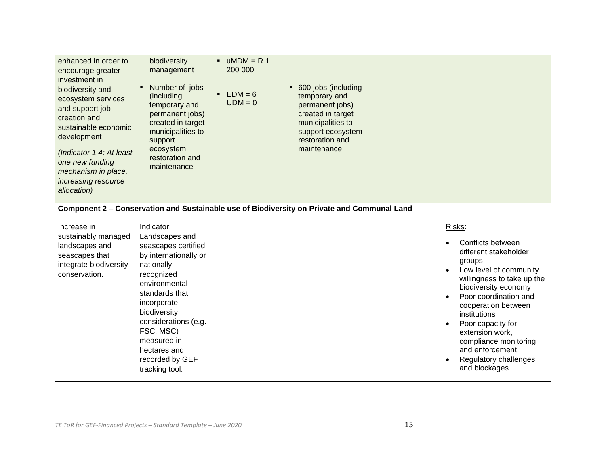| enhanced in order to<br>encourage greater<br>investment in<br>biodiversity and<br>ecosystem services<br>and support job<br>creation and<br>sustainable economic<br>development<br>(Indicator 1.4: At least<br>one new funding<br>mechanism in place,<br>increasing resource<br>allocation) | biodiversity<br>management<br>Number of jobs<br>(including<br>temporary and<br>permanent jobs)<br>created in target<br>municipalities to<br>support<br>ecosystem<br>restoration and<br>maintenance                                                                                  | $uMDM = R 1$<br>200 000<br>$EDM = 6$<br>$UDM = 0$ | 600 jobs (including<br>temporary and<br>permanent jobs)<br>created in target<br>municipalities to<br>support ecosystem<br>restoration and<br>maintenance |                                                                                                                                                                                                                                                                                                                                               |
|--------------------------------------------------------------------------------------------------------------------------------------------------------------------------------------------------------------------------------------------------------------------------------------------|-------------------------------------------------------------------------------------------------------------------------------------------------------------------------------------------------------------------------------------------------------------------------------------|---------------------------------------------------|----------------------------------------------------------------------------------------------------------------------------------------------------------|-----------------------------------------------------------------------------------------------------------------------------------------------------------------------------------------------------------------------------------------------------------------------------------------------------------------------------------------------|
|                                                                                                                                                                                                                                                                                            |                                                                                                                                                                                                                                                                                     |                                                   | Component 2 - Conservation and Sustainable use of Biodiversity on Private and Communal Land                                                              |                                                                                                                                                                                                                                                                                                                                               |
| Increase in<br>sustainably managed<br>landscapes and<br>seascapes that<br>integrate biodiversity<br>conservation.                                                                                                                                                                          | Indicator:<br>Landscapes and<br>seascapes certified<br>by internationally or<br>nationally<br>recognized<br>environmental<br>standards that<br>incorporate<br>biodiversity<br>considerations (e.g.<br>FSC, MSC)<br>measured in<br>hectares and<br>recorded by GEF<br>tracking tool. |                                                   |                                                                                                                                                          | Risks:<br>Conflicts between<br>different stakeholder<br>groups<br>Low level of community<br>willingness to take up the<br>biodiversity economy<br>Poor coordination and<br>cooperation between<br>institutions<br>Poor capacity for<br>extension work,<br>compliance monitoring<br>and enforcement.<br>Regulatory challenges<br>and blockages |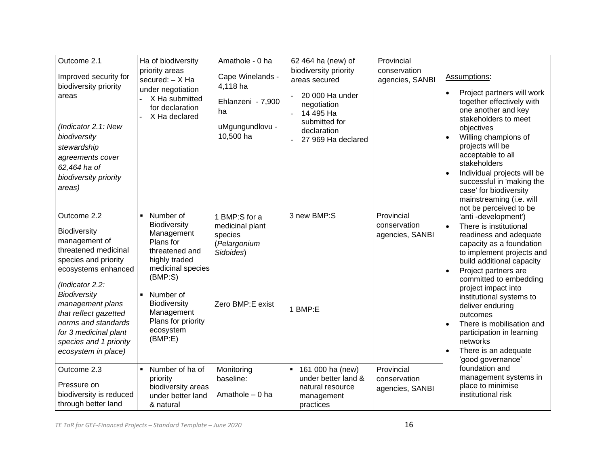| Outcome 2.1<br>Improved security for<br>biodiversity priority<br>areas<br>(Indicator 2.1: New<br>biodiversity<br>stewardship<br>agreements cover<br>62,464 ha of<br>biodiversity priority<br>areas)                                                                                                         | Ha of biodiversity<br>priority areas<br>secured: - X Ha<br>under negotiation<br>X Ha submitted<br>for declaration<br>X Ha declared                                                                                                                   | Amathole - 0 ha<br>Cape Winelands -<br>4,118 ha<br>Ehlanzeni - 7,900<br>ha<br>uMgungundlovu -<br>10,500 ha | 62 464 ha (new) of<br>biodiversity priority<br>areas secured<br>20 000 Ha under<br>negotiation<br>14 495 Ha<br>submitted for<br>declaration<br>27 969 Ha declared | Provincial<br>conservation<br>agencies, SANBI | Assumptions:<br>Project partners will work<br>together effectively with<br>one another and key<br>stakeholders to meet<br>objectives<br>Willing champions of<br>projects will be<br>acceptable to all<br>stakeholders<br>Individual projects will be<br>successful in 'making the<br>case' for biodiversity<br>mainstreaming (i.e. will<br>not be perceived to be                                                                  |
|-------------------------------------------------------------------------------------------------------------------------------------------------------------------------------------------------------------------------------------------------------------------------------------------------------------|------------------------------------------------------------------------------------------------------------------------------------------------------------------------------------------------------------------------------------------------------|------------------------------------------------------------------------------------------------------------|-------------------------------------------------------------------------------------------------------------------------------------------------------------------|-----------------------------------------------|------------------------------------------------------------------------------------------------------------------------------------------------------------------------------------------------------------------------------------------------------------------------------------------------------------------------------------------------------------------------------------------------------------------------------------|
| Outcome 2.2<br>Biodiversity<br>management of<br>threatened medicinal<br>species and priority<br>ecosystems enhanced<br>(Indicator 2.2:<br><b>Biodiversity</b><br>management plans<br>that reflect gazetted<br>norms and standards<br>for 3 medicinal plant<br>species and 1 priority<br>ecosystem in place) | Number of<br>$\blacksquare$<br>Biodiversity<br>Management<br>Plans for<br>threatened and<br>highly traded<br>medicinal species<br>(BMP:S)<br>Number of<br>$\blacksquare$<br>Biodiversity<br>Management<br>Plans for priority<br>ecosystem<br>(BMP:E) | 1 BMP:S for a<br>medicinal plant<br>species<br>(Pelargonium<br>Sidoides)<br>Zero BMP:E exist               | 3 new BMP:S<br>BMP:E                                                                                                                                              | Provincial<br>conservation<br>agencies, SANBI | 'anti-development')<br>There is institutional<br>$\bullet$<br>readiness and adequate<br>capacity as a foundation<br>to implement projects and<br>build additional capacity<br>Project partners are<br>committed to embedding<br>project impact into<br>institutional systems to<br>deliver enduring<br>outcomes<br>There is mobilisation and<br>participation in learning<br>networks<br>There is an adequate<br>'good governance' |
| Outcome 2.3<br>Pressure on<br>biodiversity is reduced<br>through better land                                                                                                                                                                                                                                | Number of ha of<br>$\blacksquare$<br>priority<br>biodiversity areas<br>under better land<br>& natural                                                                                                                                                | Monitoring<br>baseline:<br>Amathole - 0 ha                                                                 | 161 000 ha (new)<br>×<br>under better land &<br>natural resource<br>management<br>practices                                                                       | Provincial<br>conservation<br>agencies, SANBI | foundation and<br>management systems in<br>place to minimise<br>institutional risk                                                                                                                                                                                                                                                                                                                                                 |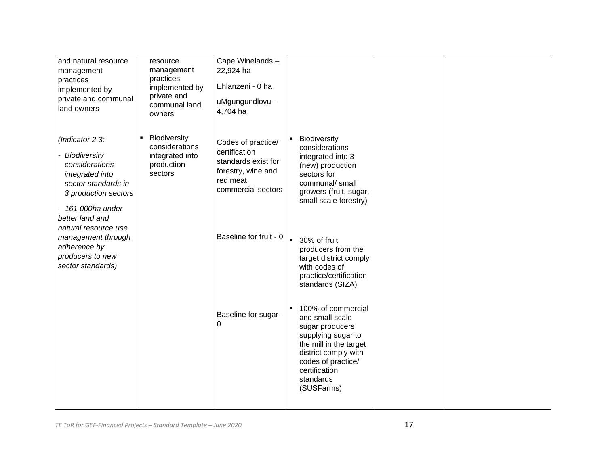| and natural resource<br>management<br>practices<br>implemented by<br>private and communal<br>land owners                                                                              | resource<br>management<br>practices<br>implemented by<br>private and<br>communal land<br>owners | Cape Winelands-<br>22,924 ha<br>Ehlanzeni - 0 ha<br>uMgungundlovu -<br>4,704 ha                                    |                                                                                                                                                                                                    |  |
|---------------------------------------------------------------------------------------------------------------------------------------------------------------------------------------|-------------------------------------------------------------------------------------------------|--------------------------------------------------------------------------------------------------------------------|----------------------------------------------------------------------------------------------------------------------------------------------------------------------------------------------------|--|
| (Indicator 2.3:<br>- Biodiversity<br>considerations<br>integrated into<br>sector standards in<br>3 production sectors<br>- 161 000ha under<br>better land and<br>natural resource use | <b>Biodiversity</b><br>considerations<br>integrated into<br>production<br>sectors               | Codes of practice/<br>certification<br>standards exist for<br>forestry, wine and<br>red meat<br>commercial sectors | Biodiversity<br>considerations<br>integrated into 3<br>(new) production<br>sectors for<br>communal/small<br>growers (fruit, sugar,<br>small scale forestry)                                        |  |
| management through<br>adherence by<br>producers to new<br>sector standards)                                                                                                           |                                                                                                 | Baseline for fruit - 0                                                                                             | ■ 30% of fruit<br>producers from the<br>target district comply<br>with codes of<br>practice/certification<br>standards (SIZA)                                                                      |  |
|                                                                                                                                                                                       |                                                                                                 | Baseline for sugar -<br>0                                                                                          | 100% of commercial<br>and small scale<br>sugar producers<br>supplying sugar to<br>the mill in the target<br>district comply with<br>codes of practice/<br>certification<br>standards<br>(SUSFarms) |  |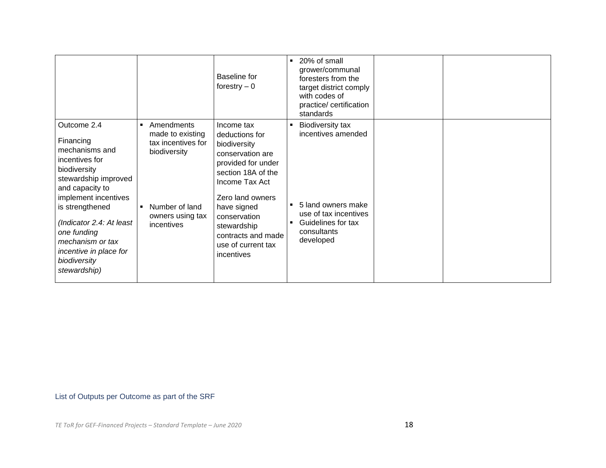|                                                                                                                                                                                                                                                                                             |                                                                                                                                                 | <b>Baseline</b> for<br>forestry $-0$                                                                                                                                                                                                                       | 20% of small<br>$\blacksquare$<br>grower/communal<br>foresters from the<br>target district comply<br>with codes of<br>practice/ certification<br>standards |
|---------------------------------------------------------------------------------------------------------------------------------------------------------------------------------------------------------------------------------------------------------------------------------------------|-------------------------------------------------------------------------------------------------------------------------------------------------|------------------------------------------------------------------------------------------------------------------------------------------------------------------------------------------------------------------------------------------------------------|------------------------------------------------------------------------------------------------------------------------------------------------------------|
| Outcome 2.4<br>Financing<br>mechanisms and<br>incentives for<br>biodiversity<br>stewardship improved<br>and capacity to<br>implement incentives<br>is strengthened<br>(Indicator 2.4: At least<br>one funding<br>mechanism or tax<br>incentive in place for<br>biodiversity<br>stewardship) | Amendments<br>$\blacksquare$<br>made to existing<br>tax incentives for<br>biodiversity<br>Number of land<br>٠<br>owners using tax<br>incentives | Income tax<br>deductions for<br>biodiversity<br>conservation are<br>provided for under<br>section 18A of the<br>Income Tax Act<br>Zero land owners<br>have signed<br>conservation<br>stewardship<br>contracts and made<br>use of current tax<br>incentives | <b>Biodiversity tax</b><br>incentives amended<br>5 land owners make<br>use of tax incentives<br>Guidelines for tax<br>consultants<br>developed             |

# List of Outputs per Outcome as part of the SRF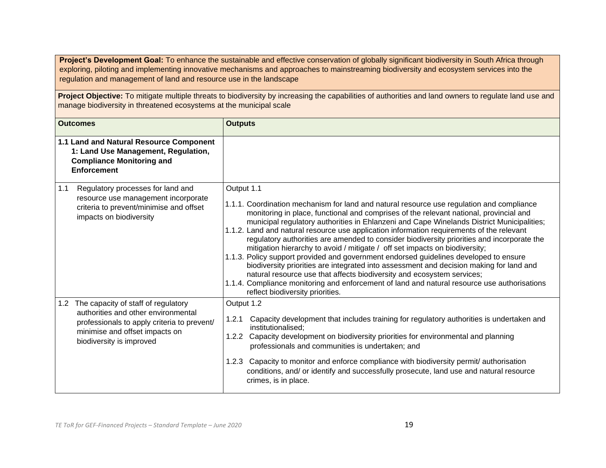Project's Development Goal: To enhance the sustainable and effective conservation of globally significant biodiversity in South Africa through exploring, piloting and implementing innovative mechanisms and approaches to mainstreaming biodiversity and ecosystem services into the regulation and management of land and resource use in the landscape

Project Objective: To mitigate multiple threats to biodiversity by increasing the capabilities of authorities and land owners to regulate land use and manage biodiversity in threatened ecosystems at the municipal scale

|     | <b>Outcomes</b>                                                                                                                                                                             | <b>Outputs</b>                                                                                                                                                                                                                                                                                                                                                                                                                                                                                                                                                                                                                                                                                                                                                                                                                                                                                                                                                             |
|-----|---------------------------------------------------------------------------------------------------------------------------------------------------------------------------------------------|----------------------------------------------------------------------------------------------------------------------------------------------------------------------------------------------------------------------------------------------------------------------------------------------------------------------------------------------------------------------------------------------------------------------------------------------------------------------------------------------------------------------------------------------------------------------------------------------------------------------------------------------------------------------------------------------------------------------------------------------------------------------------------------------------------------------------------------------------------------------------------------------------------------------------------------------------------------------------|
|     | 1.1 Land and Natural Resource Component<br>1: Land Use Management, Regulation,<br><b>Compliance Monitoring and</b><br><b>Enforcement</b>                                                    |                                                                                                                                                                                                                                                                                                                                                                                                                                                                                                                                                                                                                                                                                                                                                                                                                                                                                                                                                                            |
| 1.1 | Regulatory processes for land and<br>resource use management incorporate<br>criteria to prevent/minimise and offset<br>impacts on biodiversity                                              | Output 1.1<br>1.1.1. Coordination mechanism for land and natural resource use regulation and compliance<br>monitoring in place, functional and comprises of the relevant national, provincial and<br>municipal regulatory authorities in Ehlanzeni and Cape Winelands District Municipalities;<br>1.1.2. Land and natural resource use application information requirements of the relevant<br>regulatory authorities are amended to consider biodiversity priorities and incorporate the<br>mitigation hierarchy to avoid / mitigate / off set impacts on biodiversity;<br>1.1.3. Policy support provided and government endorsed guidelines developed to ensure<br>biodiversity priorities are integrated into assessment and decision making for land and<br>natural resource use that affects biodiversity and ecosystem services;<br>1.1.4. Compliance monitoring and enforcement of land and natural resource use authorisations<br>reflect biodiversity priorities. |
|     | 1.2 The capacity of staff of regulatory<br>authorities and other environmental<br>professionals to apply criteria to prevent/<br>minimise and offset impacts on<br>biodiversity is improved | Output 1.2<br>1.2.1 Capacity development that includes training for regulatory authorities is undertaken and<br>institutionalised;<br>1.2.2 Capacity development on biodiversity priorities for environmental and planning<br>professionals and communities is undertaken; and<br>1.2.3 Capacity to monitor and enforce compliance with biodiversity permit/ authorisation<br>conditions, and/ or identify and successfully prosecute, land use and natural resource<br>crimes, is in place.                                                                                                                                                                                                                                                                                                                                                                                                                                                                               |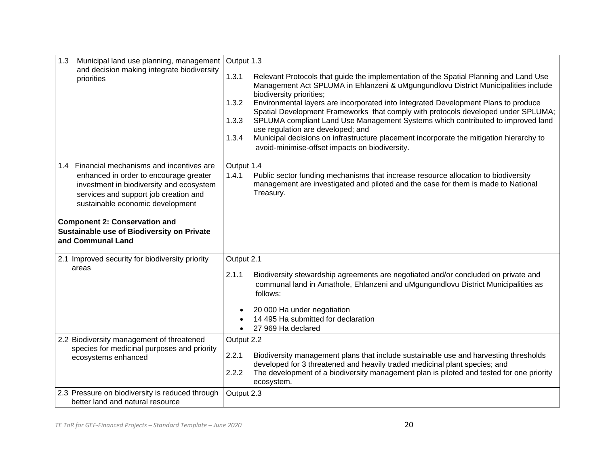| Municipal land use planning, management<br>1.3<br>and decision making integrate biodiversity<br>priorities                                                                                                     | Output 1.3<br>1.3.1<br>Relevant Protocols that guide the implementation of the Spatial Planning and Land Use<br>Management Act SPLUMA in Ehlanzeni & uMgungundlovu District Municipalities include<br>biodiversity priorities;<br>Environmental layers are incorporated into Integrated Development Plans to produce<br>1.3.2<br>Spatial Development Frameworks that comply with protocols developed under SPLUMA;<br>SPLUMA compliant Land Use Management Systems which contributed to improved land<br>1.3.3<br>use regulation are developed; and<br>Municipal decisions on infrastructure placement incorporate the mitigation hierarchy to<br>1.3.4<br>avoid-minimise-offset impacts on biodiversity. |
|----------------------------------------------------------------------------------------------------------------------------------------------------------------------------------------------------------------|-----------------------------------------------------------------------------------------------------------------------------------------------------------------------------------------------------------------------------------------------------------------------------------------------------------------------------------------------------------------------------------------------------------------------------------------------------------------------------------------------------------------------------------------------------------------------------------------------------------------------------------------------------------------------------------------------------------|
| 1.4 Financial mechanisms and incentives are<br>enhanced in order to encourage greater<br>investment in biodiversity and ecosystem<br>services and support job creation and<br>sustainable economic development | Output 1.4<br>1.4.1<br>Public sector funding mechanisms that increase resource allocation to biodiversity<br>management are investigated and piloted and the case for them is made to National<br>Treasury.                                                                                                                                                                                                                                                                                                                                                                                                                                                                                               |
| <b>Component 2: Conservation and</b><br>Sustainable use of Biodiversity on Private<br>and Communal Land                                                                                                        |                                                                                                                                                                                                                                                                                                                                                                                                                                                                                                                                                                                                                                                                                                           |
| 2.1 Improved security for biodiversity priority<br>areas                                                                                                                                                       | Output 2.1<br>2.1.1<br>Biodiversity stewardship agreements are negotiated and/or concluded on private and<br>communal land in Amathole, Ehlanzeni and uMgungundlovu District Municipalities as<br>follows:<br>20 000 Ha under negotiation<br>14 495 Ha submitted for declaration<br>27 969 Ha declared                                                                                                                                                                                                                                                                                                                                                                                                    |
| 2.2 Biodiversity management of threatened<br>species for medicinal purposes and priority<br>ecosystems enhanced                                                                                                | Output 2.2<br>2.2.1<br>Biodiversity management plans that include sustainable use and harvesting thresholds<br>developed for 3 threatened and heavily traded medicinal plant species; and<br>2.2.2<br>The development of a biodiversity management plan is piloted and tested for one priority<br>ecosystem.                                                                                                                                                                                                                                                                                                                                                                                              |
| 2.3 Pressure on biodiversity is reduced through<br>better land and natural resource                                                                                                                            | Output 2.3                                                                                                                                                                                                                                                                                                                                                                                                                                                                                                                                                                                                                                                                                                |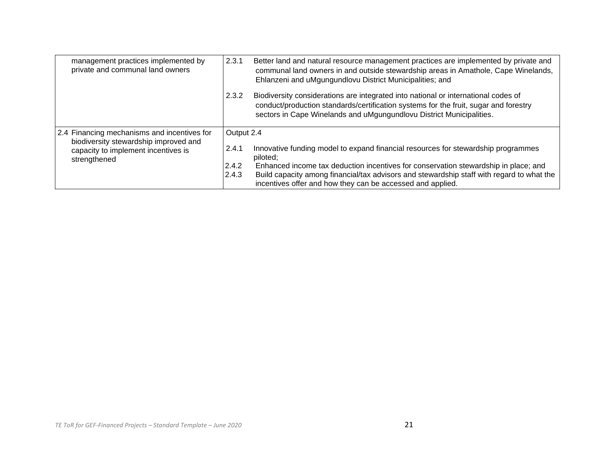| management practices implemented by<br>private and communal land owners                                                                     | 2.3.1                                 | Better land and natural resource management practices are implemented by private and<br>communal land owners in and outside stewardship areas in Amathole, Cape Winelands,<br>Ehlanzeni and uMgungundlovu District Municipalities; and                                                                                                          |
|---------------------------------------------------------------------------------------------------------------------------------------------|---------------------------------------|-------------------------------------------------------------------------------------------------------------------------------------------------------------------------------------------------------------------------------------------------------------------------------------------------------------------------------------------------|
|                                                                                                                                             | 2.3.2                                 | Biodiversity considerations are integrated into national or international codes of<br>conduct/production standards/certification systems for the fruit, sugar and forestry<br>sectors in Cape Winelands and uMgungundlovu District Municipalities.                                                                                              |
| 2.4 Financing mechanisms and incentives for<br>biodiversity stewardship improved and<br>capacity to implement incentives is<br>strengthened | Output 2.4<br>2.4.1<br>2.4.2<br>2.4.3 | Innovative funding model to expand financial resources for stewardship programmes<br>piloted;<br>Enhanced income tax deduction incentives for conservation stewardship in place; and<br>Build capacity among financial/tax advisors and stewardship staff with regard to what the<br>incentives offer and how they can be accessed and applied. |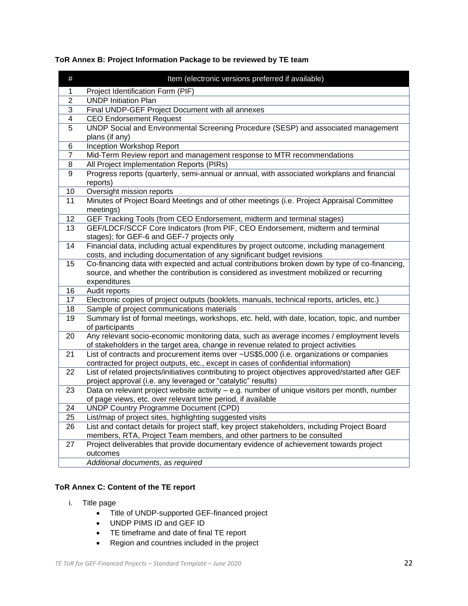# **ToR Annex B: Project Information Package to be reviewed by TE team**

| $\#$                    | Item (electronic versions preferred if available)                                                                            |
|-------------------------|------------------------------------------------------------------------------------------------------------------------------|
| 1                       | Project Identification Form (PIF)                                                                                            |
| $\overline{2}$          | <b>UNDP Initiation Plan</b>                                                                                                  |
| 3                       | Final UNDP-GEF Project Document with all annexes                                                                             |
| $\overline{\mathbf{4}}$ | <b>CEO Endorsement Request</b>                                                                                               |
| 5                       | UNDP Social and Environmental Screening Procedure (SESP) and associated management                                           |
|                         | plans (if any)                                                                                                               |
| 6                       | <b>Inception Workshop Report</b>                                                                                             |
| 7                       | Mid-Term Review report and management response to MTR recommendations                                                        |
| 8                       | All Project Implementation Reports (PIRs)                                                                                    |
| 9                       | Progress reports (quarterly, semi-annual or annual, with associated workplans and financial<br>reports)                      |
| 10                      | Oversight mission reports                                                                                                    |
| 11                      | Minutes of Project Board Meetings and of other meetings (i.e. Project Appraisal Committee<br>meetings)                       |
| 12                      | GEF Tracking Tools (from CEO Endorsement, midterm and terminal stages)                                                       |
| 13                      | GEF/LDCF/SCCF Core Indicators (from PIF, CEO Endorsement, midterm and terminal<br>stages); for GEF-6 and GEF-7 projects only |
| $\overline{14}$         | Financial data, including actual expenditures by project outcome, including management                                       |
|                         | costs, and including documentation of any significant budget revisions                                                       |
| 15                      | Co-financing data with expected and actual contributions broken down by type of co-financing,                                |
|                         | source, and whether the contribution is considered as investment mobilized or recurring<br>expenditures                      |
| 16                      | Audit reports                                                                                                                |
| 17                      | Electronic copies of project outputs (booklets, manuals, technical reports, articles, etc.)                                  |
| 18                      | Sample of project communications materials                                                                                   |
| 19                      | Summary list of formal meetings, workshops, etc. held, with date, location, topic, and number                                |
|                         | of participants                                                                                                              |
| 20                      | Any relevant socio-economic monitoring data, such as average incomes / employment levels                                     |
|                         | of stakeholders in the target area, change in revenue related to project activities                                          |
| 21                      | List of contracts and procurement items over ~US\$5,000 (i.e. organizations or companies                                     |
|                         | contracted for project outputs, etc., except in cases of confidential information)                                           |
| 22                      | List of related projects/initiatives contributing to project objectives approved/started after GEF                           |
|                         | project approval (i.e. any leveraged or "catalytic" results)                                                                 |
| 23                      | Data on relevant project website activity - e.g. number of unique visitors per month, number                                 |
|                         | of page views, etc. over relevant time period, if available                                                                  |
| 24                      | <b>UNDP Country Programme Document (CPD)</b>                                                                                 |
| 25                      | List/map of project sites, highlighting suggested visits                                                                     |
| 26                      | List and contact details for project staff, key project stakeholders, including Project Board                                |
|                         | members, RTA, Project Team members, and other partners to be consulted                                                       |
| 27                      | Project deliverables that provide documentary evidence of achievement towards project                                        |
|                         | outcomes                                                                                                                     |
|                         | Additional documents, as required                                                                                            |

# **ToR Annex C: Content of the TE report**

- i. Title page
	- Title of UNDP-supported GEF-financed project
	- UNDP PIMS ID and GEF ID
	- TE timeframe and date of final TE report
	- Region and countries included in the project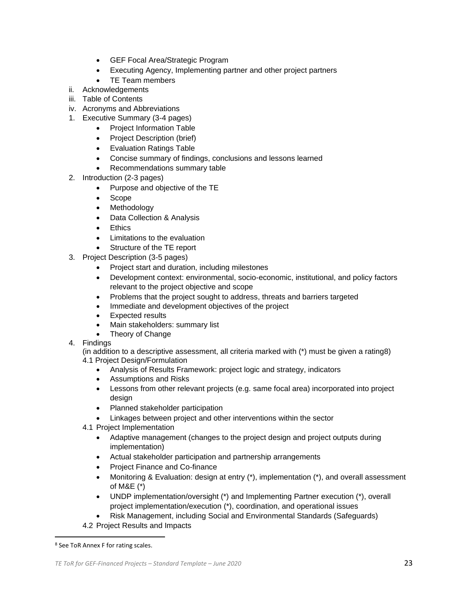- GEF Focal Area/Strategic Program
- Executing Agency, Implementing partner and other project partners
- TE Team members
- ii. Acknowledgements
- iii. Table of Contents
- iv. Acronyms and Abbreviations
- 1. Executive Summary (3-4 pages)
	- Project Information Table
	- Project Description (brief)
	- Evaluation Ratings Table
	- Concise summary of findings, conclusions and lessons learned
	- Recommendations summary table
- 2. Introduction (2-3 pages)
	- Purpose and objective of the TE
	- Scope
	- Methodology
	- Data Collection & Analysis
	- **Ethics**
	- Limitations to the evaluation
	- Structure of the TE report
- 3. Project Description (3-5 pages)
	- Project start and duration, including milestones
	- Development context: environmental, socio-economic, institutional, and policy factors relevant to the project objective and scope
	- Problems that the project sought to address, threats and barriers targeted
	- Immediate and development objectives of the project
	- Expected results
	- Main stakeholders: summary list
	- Theory of Change
- 4. Findings

(in addition to a descriptive assessment, all criteria marked with (\*) must be given a rating8)

- 4.1 Project Design/Formulation
	- Analysis of Results Framework: project logic and strategy, indicators
	- Assumptions and Risks
	- Lessons from other relevant projects (e.g. same focal area) incorporated into project desian
	- Planned stakeholder participation
	- Linkages between project and other interventions within the sector
- 4.1 Project Implementation
	- Adaptive management (changes to the project design and project outputs during implementation)
	- Actual stakeholder participation and partnership arrangements
	- Project Finance and Co-finance
	- Monitoring & Evaluation: design at entry (\*), implementation (\*), and overall assessment of M&E (\*)
	- UNDP implementation/oversight (\*) and Implementing Partner execution (\*), overall project implementation/execution (\*), coordination, and operational issues
- Risk Management, including Social and Environmental Standards (Safeguards)
- 4.2 Project Results and Impacts

<sup>8</sup> See ToR Annex F for rating scales.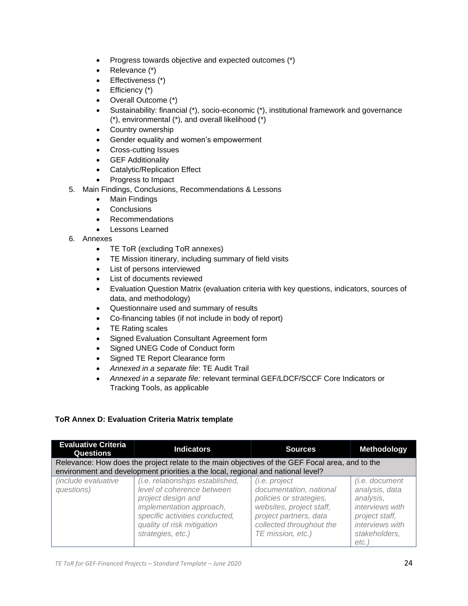- Progress towards objective and expected outcomes (\*)
- Relevance (\*)
- Effectiveness (\*)
- Efficiency (\*)
- Overall Outcome (\*)
- Sustainability: financial (\*), socio-economic (\*), institutional framework and governance (\*), environmental (\*), and overall likelihood (\*)
- Country ownership
- Gender equality and women's empowerment
- Cross-cutting Issues
- GEF Additionality
- Catalytic/Replication Effect
- Progress to Impact
- 5. Main Findings, Conclusions, Recommendations & Lessons
	- Main Findings
	- **Conclusions**
	- Recommendations
	- Lessons Learned
- 6. Annexes
	- TE ToR (excluding ToR annexes)
	- TE Mission itinerary, including summary of field visits
	- List of persons interviewed
	- List of documents reviewed
	- Evaluation Question Matrix (evaluation criteria with key questions, indicators, sources of data, and methodology)
	- Questionnaire used and summary of results
	- Co-financing tables (if not include in body of report)
	- TE Rating scales
	- Signed Evaluation Consultant Agreement form
	- Signed UNEG Code of Conduct form
	- Signed TE Report Clearance form
	- *Annexed in a separate file*: TE Audit Trail
	- *Annexed in a separate file:* relevant terminal GEF/LDCF/SCCF Core Indicators or Tracking Tools, as applicable

# **ToR Annex D: Evaluation Criteria Matrix template**

| <b>Evaluative Criteria</b><br><b>Questions</b>                                                                                                                                      | <b>Indicators</b>                                                                                                                                                                                     | <b>Sources</b>                                                                                                                                                             | Methodology                                                                                                                             |
|-------------------------------------------------------------------------------------------------------------------------------------------------------------------------------------|-------------------------------------------------------------------------------------------------------------------------------------------------------------------------------------------------------|----------------------------------------------------------------------------------------------------------------------------------------------------------------------------|-----------------------------------------------------------------------------------------------------------------------------------------|
| Relevance: How does the project relate to the main objectives of the GEF Focal area, and to the<br>environment and development priorities a the local, regional and national level? |                                                                                                                                                                                                       |                                                                                                                                                                            |                                                                                                                                         |
| <i>(include evaluative)</i><br>questions)                                                                                                                                           | (i.e. relationships established,<br>level of coherence between<br>project design and<br>implementation approach,<br>specific activities conducted,<br>quality of risk mitigation<br>strategies, etc.) | (i.e. project<br>documentation, national<br>policies or strategies,<br>websites, project staff,<br>project partners, data<br>collected throughout the<br>TE mission, etc.) | <i>(i.e. document</i> )<br>analysis, data<br>analysis,<br>interviews with<br>project staff,<br>interviews with<br>stakeholders.<br>etc. |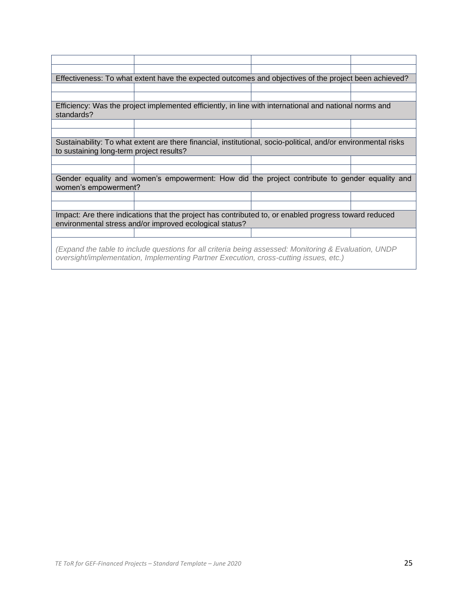|                                                                                                                                                                                                | Effectiveness: To what extent have the expected outcomes and objectives of the project been achieved?  |  |  |
|------------------------------------------------------------------------------------------------------------------------------------------------------------------------------------------------|--------------------------------------------------------------------------------------------------------|--|--|
|                                                                                                                                                                                                |                                                                                                        |  |  |
|                                                                                                                                                                                                |                                                                                                        |  |  |
| standards?                                                                                                                                                                                     | Efficiency: Was the project implemented efficiently, in line with international and national norms and |  |  |
|                                                                                                                                                                                                |                                                                                                        |  |  |
|                                                                                                                                                                                                |                                                                                                        |  |  |
| Sustainability: To what extent are there financial, institutional, socio-political, and/or environmental risks<br>to sustaining long-term project results?                                     |                                                                                                        |  |  |
|                                                                                                                                                                                                |                                                                                                        |  |  |
|                                                                                                                                                                                                |                                                                                                        |  |  |
| Gender equality and women's empowerment: How did the project contribute to gender equality and<br>women's empowerment?                                                                         |                                                                                                        |  |  |
|                                                                                                                                                                                                |                                                                                                        |  |  |
|                                                                                                                                                                                                |                                                                                                        |  |  |
| Impact: Are there indications that the project has contributed to, or enabled progress toward reduced<br>environmental stress and/or improved ecological status?                               |                                                                                                        |  |  |
|                                                                                                                                                                                                |                                                                                                        |  |  |
| (Expand the table to include questions for all criteria being assessed: Monitoring & Evaluation, UNDP<br>oversight/implementation, Implementing Partner Execution, cross-cutting issues, etc.) |                                                                                                        |  |  |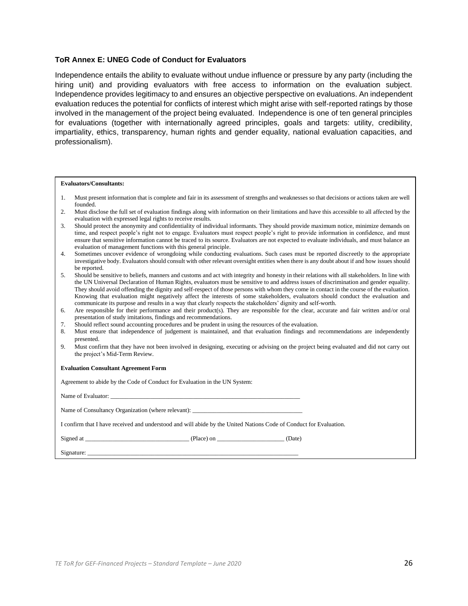# **ToR Annex E: UNEG Code of Conduct for Evaluators**

Independence entails the ability to evaluate without undue influence or pressure by any party (including the hiring unit) and providing evaluators with free access to information on the evaluation subject. Independence provides legitimacy to and ensures an objective perspective on evaluations. An independent evaluation reduces the potential for conflicts of interest which might arise with self-reported ratings by those involved in the management of the project being evaluated. Independence is one of ten general principles for evaluations (together with internationally agreed principles, goals and targets: utility, credibility, impartiality, ethics, transparency, human rights and gender equality, national evaluation capacities, and professionalism).

#### **Evaluators/Consultants:**

| Must present information that is complete and fair in its assessment of strengths and weaknesses so that decisions or actions taken are well |
|----------------------------------------------------------------------------------------------------------------------------------------------|
| founded.                                                                                                                                     |

| 2. | Must disclose the full set of evaluation findings along with information on their limitations and have this accessible to all affected by the |
|----|-----------------------------------------------------------------------------------------------------------------------------------------------|
|    | evaluation with expressed legal rights to receive results.                                                                                    |

| Should protect the anonymity and confidentiality of individual informants. They should provide maximum notice, minimize demands on         |
|--------------------------------------------------------------------------------------------------------------------------------------------|
| time, and respect people's right not to engage. Evaluators must respect people's right to provide information in confidence, and must      |
| ensure that sensitive information cannot be traced to its source. Evaluators are not expected to evaluate individuals, and must balance an |
| evaluation of management functions with this general principle.                                                                            |

| Sometimes uncover evidence of wrongdoing while conducting evaluations. Such cases must be reported discreetly to the appropriate            |
|---------------------------------------------------------------------------------------------------------------------------------------------|
| investigative body. Evaluators should consult with other relevant oversight entities when there is any doubt about if and how issues should |
| be reported.                                                                                                                                |

| Should be sensitive to beliefs, manners and customs and act with integrity and honesty in their relations with all stakeholders. In line with |
|-----------------------------------------------------------------------------------------------------------------------------------------------|
| the UN Universal Declaration of Human Rights, evaluators must be sensitive to and address issues of discrimination and gender equality.       |
| They should avoid offending the dignity and self-respect of those persons with whom they come in contact in the course of the evaluation.     |
| Knowing that evaluation might negatively affect the interests of some stakeholders, evaluators should conduct the evaluation and              |
| communicate its purpose and results in a way that clearly respects the stakeholders' dignity and self-worth.                                  |

- 6. Are responsible for their performance and their product(s). They are responsible for the clear, accurate and fair written and/or oral presentation of study imitations, findings and recommendations.
- 7. Should reflect sound accounting procedures and be prudent in using the resources of the evaluation.
- 8. Must ensure that independence of judgement is maintained, and that evaluation findings and recommendations are independently presented.
- 9. Must confirm that they have not been involved in designing, executing or advising on the project being evaluated and did not carry out the project's Mid-Term Review.

#### **Evaluation Consultant Agreement Form**

Agreement to abide by the Code of Conduct for Evaluation in the UN System:

Name of Evaluator:

| Name of Consultancy Organization (where relevant): ____ |  |  |
|---------------------------------------------------------|--|--|
|---------------------------------------------------------|--|--|

I confirm that I have received and understood and will abide by the United Nations Code of Conduct for Evaluation.

Signed at \_\_\_\_\_\_\_\_\_\_\_\_\_\_\_\_\_\_\_\_\_\_\_\_\_\_\_\_\_\_\_\_\_\_ (Place) on \_\_\_\_\_\_\_\_\_\_\_\_\_\_\_\_\_\_\_\_\_\_ (Date)

 $Signature:$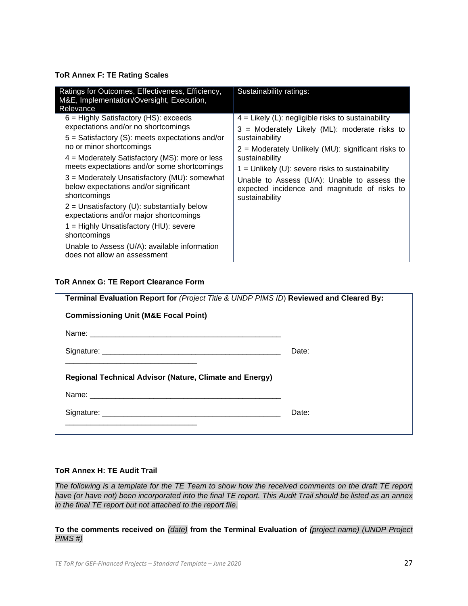# **ToR Annex F: TE Rating Scales**

| Ratings for Outcomes, Effectiveness, Efficiency,<br>M&E, Implementation/Oversight, Execution,<br>Relevance                                                                                                                                                                                                                                                                                                                                                                                                                                                                                                        | Sustainability ratings:                                                                                                                                                                                                                                                                                                                                                   |
|-------------------------------------------------------------------------------------------------------------------------------------------------------------------------------------------------------------------------------------------------------------------------------------------------------------------------------------------------------------------------------------------------------------------------------------------------------------------------------------------------------------------------------------------------------------------------------------------------------------------|---------------------------------------------------------------------------------------------------------------------------------------------------------------------------------------------------------------------------------------------------------------------------------------------------------------------------------------------------------------------------|
| $6$ = Highly Satisfactory (HS): exceeds<br>expectations and/or no shortcomings<br>$5 =$ Satisfactory (S): meets expectations and/or<br>no or minor shortcomings<br>$4$ = Moderately Satisfactory (MS): more or less<br>meets expectations and/or some shortcomings<br>3 = Moderately Unsatisfactory (MU): somewhat<br>below expectations and/or significant<br>shortcomings<br>$2$ = Unsatisfactory (U): substantially below<br>expectations and/or major shortcomings<br>1 = Highly Unsatisfactory (HU): severe<br>shortcomings<br>Unable to Assess (U/A): available information<br>does not allow an assessment | $4$ = Likely (L): negligible risks to sustainability<br>3 = Moderately Likely (ML): moderate risks to<br>sustainability<br>$2$ = Moderately Unlikely (MU): significant risks to<br>sustainability<br>$1 =$ Unlikely (U): severe risks to sustainability<br>Unable to Assess (U/A): Unable to assess the<br>expected incidence and magnitude of risks to<br>sustainability |

# **ToR Annex G: TE Report Clearance Form**

| Terminal Evaluation Report for (Project Title & UNDP PIMS ID) Reviewed and Cleared By: |       |  |  |
|----------------------------------------------------------------------------------------|-------|--|--|
| <b>Commissioning Unit (M&amp;E Focal Point)</b>                                        |       |  |  |
|                                                                                        |       |  |  |
|                                                                                        | Date: |  |  |
| <b>Regional Technical Advisor (Nature, Climate and Energy)</b>                         |       |  |  |
|                                                                                        |       |  |  |
|                                                                                        | Date: |  |  |
|                                                                                        |       |  |  |

### **ToR Annex H: TE Audit Trail**

*The following is a template for the TE Team to show how the received comments on the draft TE report have (or have not) been incorporated into the final TE report. This Audit Trail should be listed as an annex in the final TE report but not attached to the report file.* 

**To the comments received on** *(date)* **from the Terminal Evaluation of** *(project name) (UNDP Project PIMS #)*